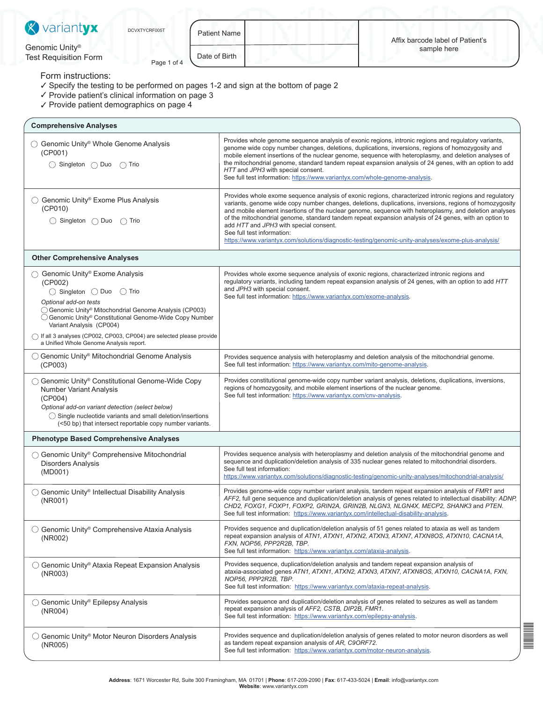| variantyx<br>$\mathbb{X}$                                                                                                                                                                                                                                                                                                                                                                             | DCVXTYCRF005T | <b>Patient Name</b>                                                                                                                                                                                                                                                                                                                                                                             |                                                                                                                                                                                                                                                                                                                                                                                                                                                                                                                                                                                                                     |                                                                                                                                                                                                        | Affix barcode label of Patient's |  |  |
|-------------------------------------------------------------------------------------------------------------------------------------------------------------------------------------------------------------------------------------------------------------------------------------------------------------------------------------------------------------------------------------------------------|---------------|-------------------------------------------------------------------------------------------------------------------------------------------------------------------------------------------------------------------------------------------------------------------------------------------------------------------------------------------------------------------------------------------------|---------------------------------------------------------------------------------------------------------------------------------------------------------------------------------------------------------------------------------------------------------------------------------------------------------------------------------------------------------------------------------------------------------------------------------------------------------------------------------------------------------------------------------------------------------------------------------------------------------------------|--------------------------------------------------------------------------------------------------------------------------------------------------------------------------------------------------------|----------------------------------|--|--|
| Genomic Unity®<br><b>Test Requisition Form</b>                                                                                                                                                                                                                                                                                                                                                        | Page 1 of 4   | Date of Birth                                                                                                                                                                                                                                                                                                                                                                                   |                                                                                                                                                                                                                                                                                                                                                                                                                                                                                                                                                                                                                     |                                                                                                                                                                                                        | sample here                      |  |  |
| Form instructions:<br>✓ Specify the testing to be performed on pages 1-2 and sign at the bottom of page 2<br>√ Provide patient's clinical information on page 3<br>✓ Provide patient demographics on page 4                                                                                                                                                                                           |               |                                                                                                                                                                                                                                                                                                                                                                                                 |                                                                                                                                                                                                                                                                                                                                                                                                                                                                                                                                                                                                                     |                                                                                                                                                                                                        |                                  |  |  |
| <b>Comprehensive Analyses</b>                                                                                                                                                                                                                                                                                                                                                                         |               |                                                                                                                                                                                                                                                                                                                                                                                                 |                                                                                                                                                                                                                                                                                                                                                                                                                                                                                                                                                                                                                     |                                                                                                                                                                                                        |                                  |  |  |
| ◯ Genomic Unity <sup>®</sup> Whole Genome Analysis<br>(CP001)<br>$\bigcirc$ Singleton $\bigcirc$ Duo $\bigcirc$ Trio                                                                                                                                                                                                                                                                                  |               |                                                                                                                                                                                                                                                                                                                                                                                                 | Provides whole genome sequence analysis of exonic regions, intronic regions and regulatory variants,<br>genome wide copy number changes, deletions, duplications, inversions, regions of homozygosity and<br>mobile element insertions of the nuclear genome, sequence with heteroplasmy, and deletion analyses of<br>the mitochondrial genome, standard tandem repeat expansion analysis of 24 genes, with an option to add<br>HTT and JPH3 with special consent.<br>See full test information: https://www.variantyx.com/whole-genome-analysis.                                                                   |                                                                                                                                                                                                        |                                  |  |  |
| ◯ Genomic Unity <sup>®</sup> Exome Plus Analysis<br>(CP010)<br>$\bigcirc$ Singleton $\bigcirc$ Duo $\bigcirc$ Trio                                                                                                                                                                                                                                                                                    |               |                                                                                                                                                                                                                                                                                                                                                                                                 | Provides whole exome sequence analysis of exonic regions, characterized intronic regions and regulatory<br>variants, genome wide copy number changes, deletions, duplications, inversions, regions of homozygosity<br>and mobile element insertions of the nuclear genome, sequence with heteroplasmy, and deletion analyses<br>of the mitochondrial genome, standard tandem repeat expansion analysis of 24 genes, with an option to<br>add HTT and JPH3 with special consent.<br>See full test information:<br>https://www.variantyx.com/solutions/diagnostic-testing/genomic-unity-analyses/exome-plus-analysis/ |                                                                                                                                                                                                        |                                  |  |  |
| <b>Other Comprehensive Analyses</b>                                                                                                                                                                                                                                                                                                                                                                   |               |                                                                                                                                                                                                                                                                                                                                                                                                 |                                                                                                                                                                                                                                                                                                                                                                                                                                                                                                                                                                                                                     |                                                                                                                                                                                                        |                                  |  |  |
| Genomic Unity® Exome Analysis<br>(CP002)<br>$\bigcirc$ Singleton $\bigcirc$ Duo $\bigcirc$ Trio<br>Optional add-on tests<br>○ Genomic Unity® Mitochondrial Genome Analysis (CP003)<br>○ Genomic Unity® Constitutional Genome-Wide Copy Number<br>Variant Analysis (CP004)<br>$\bigcap$ If all 3 analyses (CP002, CP003, CP004) are selected please provide<br>a Unified Whole Genome Analysis report. |               | and JPH3 with special consent.<br>See full test information: https://www.variantyx.com/exome-analysis.                                                                                                                                                                                                                                                                                          |                                                                                                                                                                                                                                                                                                                                                                                                                                                                                                                                                                                                                     | Provides whole exome sequence analysis of exonic regions, characterized intronic regions and<br>regulatory variants, including tandem repeat expansion analysis of 24 genes, with an option to add HTT |                                  |  |  |
| ◯ Genomic Unity <sup>®</sup> Mitochondrial Genome Analysis<br>(CP003)                                                                                                                                                                                                                                                                                                                                 |               |                                                                                                                                                                                                                                                                                                                                                                                                 |                                                                                                                                                                                                                                                                                                                                                                                                                                                                                                                                                                                                                     | Provides sequence analysis with heteroplasmy and deletion analysis of the mitochondrial genome.<br>See full test information: https://www.variantyx.com/mito-genome-analysis.                          |                                  |  |  |
| ◯ Genomic Unity® Constitutional Genome-Wide Copy<br><b>Number Variant Analysis</b><br>(CP004)<br>Optional add-on variant detection (select below)<br>◯ Single nucleotide variants and small deletion/insertions<br>(<50 bp) that intersect reportable copy number variants.                                                                                                                           |               | Provides constitutional genome-wide copy number variant analysis, deletions, duplications, inversions,<br>regions of homozygosity, and mobile element insertions of the nuclear genome.<br>See full test information: https://www.variantyx.com/cnv-analysis.                                                                                                                                   |                                                                                                                                                                                                                                                                                                                                                                                                                                                                                                                                                                                                                     |                                                                                                                                                                                                        |                                  |  |  |
| <b>Phenotype Based Comprehensive Analyses</b>                                                                                                                                                                                                                                                                                                                                                         |               |                                                                                                                                                                                                                                                                                                                                                                                                 |                                                                                                                                                                                                                                                                                                                                                                                                                                                                                                                                                                                                                     |                                                                                                                                                                                                        |                                  |  |  |
| ◯ Genomic Unity <sup>®</sup> Comprehensive Mitochondrial<br><b>Disorders Analysis</b><br>(MD001)                                                                                                                                                                                                                                                                                                      |               | Provides sequence analysis with heteroplasmy and deletion analysis of the mitochondrial genome and<br>sequence and duplication/deletion analysis of 335 nuclear genes related to mitochondrial disorders.<br>See full test information:<br>https://www.yariantyx.com/solutions/diagnostic-testing/genomic-unity-analyses/mitochondrial-analysis/                                                |                                                                                                                                                                                                                                                                                                                                                                                                                                                                                                                                                                                                                     |                                                                                                                                                                                                        |                                  |  |  |
| ◯ Genomic Unity <sup>®</sup> Intellectual Disability Analysis<br>(NR001)                                                                                                                                                                                                                                                                                                                              |               | Provides genome-wide copy number variant analysis, tandem repeat expansion analysis of FMR1 and<br>AFF2, full gene sequence and duplication/deletion analysis of genes related to intellectual disability: ADNP,<br>CHD2, FOXG1, FOXP1, FOXP2, GRIN2A, GRIN2B, NLGN3, NLGN4X, MECP2, SHANK3 and PTEN.<br>See full test information: https://www.variantyx.com/intellectual-disability-analysis. |                                                                                                                                                                                                                                                                                                                                                                                                                                                                                                                                                                                                                     |                                                                                                                                                                                                        |                                  |  |  |
| $\bigcirc$ Genomic Unity <sup>®</sup> Comprehensive Ataxia Analysis<br>(NR002)                                                                                                                                                                                                                                                                                                                        |               | Provides sequence and duplication/deletion analysis of 51 genes related to ataxia as well as tandem<br>repeat expansion analysis of ATN1, ATXN1, ATXN2, ATXN3, ATXN7, ATXN8OS, ATXN10, CACNA1A,<br>FXN, NOP56, PPP2R2B, TBP.<br>See full test information: https://www.variantyx.com/ataxia-analysis.                                                                                           |                                                                                                                                                                                                                                                                                                                                                                                                                                                                                                                                                                                                                     |                                                                                                                                                                                                        |                                  |  |  |
| $\bigcirc$ Genomic Unity® Ataxia Repeat Expansion Analysis<br>(NR003)                                                                                                                                                                                                                                                                                                                                 |               | Provides sequence, duplication/deletion analysis and tandem repeat expansion analysis of<br>ataxia-associated genes ATN1, ATXN1, ATXN2, ATXN3, ATXN7, ATXN8OS, ATXN10, CACNA1A, FXN,<br>NOP56, PPP2R2B, TBP.<br>See full test information: https://www.variantyx.com/ataxia-repeat-analysis.                                                                                                    |                                                                                                                                                                                                                                                                                                                                                                                                                                                                                                                                                                                                                     |                                                                                                                                                                                                        |                                  |  |  |
| $\bigcirc$ Genomic Unity® Epilepsy Analysis<br>(NR004)                                                                                                                                                                                                                                                                                                                                                |               |                                                                                                                                                                                                                                                                                                                                                                                                 | Provides sequence and duplication/deletion analysis of genes related to seizures as well as tandem<br>repeat expansion analysis of AFF2, CSTB, DIP2B, FMR1.<br>See full test information: https://www.variantyx.com/epilepsy-analysis.                                                                                                                                                                                                                                                                                                                                                                              |                                                                                                                                                                                                        |                                  |  |  |
| ○ Genomic Unity® Motor Neuron Disorders Analysis<br>(NR005)                                                                                                                                                                                                                                                                                                                                           |               |                                                                                                                                                                                                                                                                                                                                                                                                 | Provides sequence and duplication/deletion analysis of genes related to motor neuron disorders as well<br>as tandem repeat expansion analysis of AR, C9ORF72.<br>See full test information: https://www.variantyx.com/motor-neuron-analysis.                                                                                                                                                                                                                                                                                                                                                                        |                                                                                                                                                                                                        |                                  |  |  |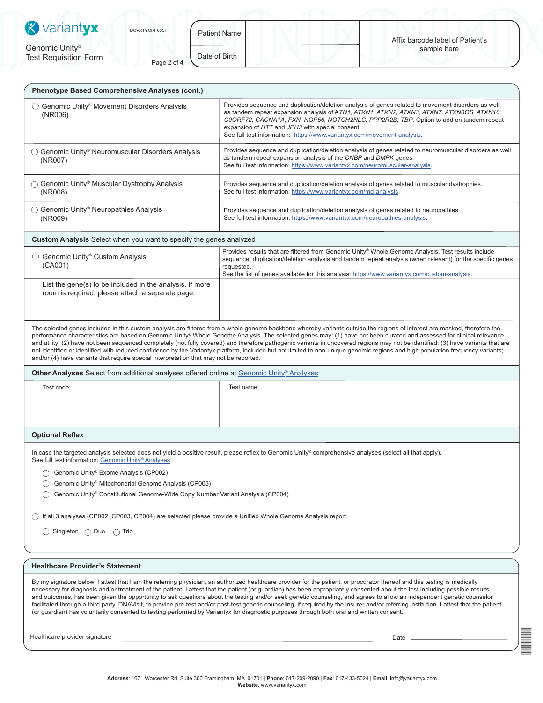| <b>X</b> variantyx<br>DCVXTYCRF005T<br>Genomic Unity®<br><b>Test Requisition Form</b><br>Page 2 of 4         | <b>Patient Name</b><br>Affix barcode label of Patient's<br>sample here<br>Date of Birth                                                                                                                                                                                                                                                                                                                                |  |  |  |  |
|--------------------------------------------------------------------------------------------------------------|------------------------------------------------------------------------------------------------------------------------------------------------------------------------------------------------------------------------------------------------------------------------------------------------------------------------------------------------------------------------------------------------------------------------|--|--|--|--|
| Phenotype Based Comprehensive Analyses (cont.)                                                               |                                                                                                                                                                                                                                                                                                                                                                                                                        |  |  |  |  |
| Genomic Unity <sup>®</sup> Movement Disorders Analysis<br>(NR006)                                            | Provides sequence and duplication/deletion analysis of genes related to movement disorders as well<br>as tandem repeat expansion analysis of ATN1, ATXN1, ATXN2, ATXN3, ATXN7, ATXN8OS, ATXN10,<br>C9ORF72, CACNA1A, FXN, NOP56, NOTCH2NLC, PPP2R2B, TBP. Option to add on tandem repeat<br>expansion of HTT and JPH3 with special consent.<br>See full test information: https://www.variantyx.com/movement-analysis. |  |  |  |  |
| ◯ Genomic Unity® Neuromuscular Disorders Analysis<br>(NR007)                                                 | Provides sequence and duplication/deletion analysis of genes related to neuromuscular disorders as well<br>as tandem repeat expansion analysis of the CNBP and DMPK genes.<br>See full test information: https://www.variantyx.com/neuromuscular-analysis.                                                                                                                                                             |  |  |  |  |
| Genomic Unity <sup>®</sup> Muscular Dystrophy Analysis<br>(NR008)                                            | Provides sequence and duplication/deletion analysis of genes related to muscular dystrophies.<br>See full test information: https://www.variantyx.com/md-analysis.                                                                                                                                                                                                                                                     |  |  |  |  |
| ◯ Genomic Unity <sup>®</sup> Neuropathies Analysis<br>(NR009)                                                | Provides sequence and duplication/deletion analysis of genes related to neuropathies.<br>See full test information: https://www.variantyx.com/neuropathies-analysis.                                                                                                                                                                                                                                                   |  |  |  |  |
| Custom Analysis Select when you want to specify the genes analyzed                                           |                                                                                                                                                                                                                                                                                                                                                                                                                        |  |  |  |  |
| ◯ Genomic Unity® Custom Analysis<br>(CAO01)                                                                  | Provides results that are filtered from Genomic Unity® Whole Genome Analysis. Test results include<br>sequence, duplication/deletion analysis and tandem repeat analysis (when relevant) for the specific genes<br>requested.<br>See the list of genes available for this analysis: https://www.variantyx.com/custom-analysis.                                                                                         |  |  |  |  |
| List the gene(s) to be included in the analysis. If more<br>room is required, please attach a separate page: |                                                                                                                                                                                                                                                                                                                                                                                                                        |  |  |  |  |

**Other Analyses** Select from additional analyses offered online at [Genomic Unity](https://www.variantyx.com/solutions/diagnostic-testing/genomic-unity-analyses/)® Analyses

Test code:

Test name:

## **Optional Reflex**

In case the targeted analysis selected does not yield a positive result, please reflex to Genomic Unity® comprehensive analyses (select all that apply). See full test information: [Genomic Unity](https://www.variantyx.com/solutions/diagnostic-testing/genomic-unity-analyses/)® Analyses

◯ Genomic Unity® Exome Analysis (CP002)

Genomic Unity® Mitochondrial Genome Analysis (CP003)

Genomic Unity® Constitutional Genome-Wide Copy Number Variant Analysis (CP004)

If all 3 analyses (CP002, CP003, CP004) are selected please provide a Unified Whole Genome Analysis report.

○ Singleton ○ Duo ○ Trio

## **Healthcare Provider's Statement**

By my signature below, I attest that I am the referring physician, an authorized healthcare provider for the patient, or procurator thereof and this testing is medically necessary for diagnosis and/or treatment of the patient. I attest that the patient (or guardian) has been appropriately consented about the test including possible results and outcomes, has been given the opportunity to ask questions about the testing and/or seek genetic counseling, and agrees to allow an independent genetic counselor facilitated through a third party, DNAVisit, to provide pre-test and/or post-test genetic counseling, if required by the insurer and/or referring institution. I attest that the patient (or guardian) has voluntarily consented to testing performed by Variantyx for diagnostic purposes through both oral and written consent.

Healthcare provider signature **Date** Date of Contract and Contract and Contract and Contract and Contract and Contract and Contract and Contract and Contract and Contract and Contract and Contract and Contract and Contract

DCVXTV<br>Developedar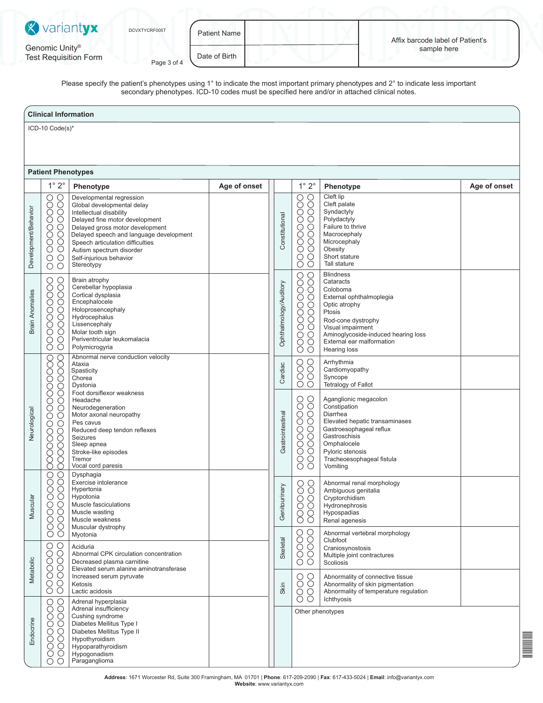| <b>X</b> variantyx                             | DCVXTYCRF005T | Patient Name  | Affix barcode label of Patient's |  |
|------------------------------------------------|---------------|---------------|----------------------------------|--|
| Genomic Unity®<br><b>Test Requisition Form</b> | Page 3 of 4   | Date of Birth | sample here                      |  |

Please specify the patient's phenotypes using 1° to indicate the most important primary phenotypes and 2° to indicate less important secondary phenotypes. ICD-10 codes must be specified here and/or in attached clinical notes.

## **Clinical Information** ICD-10 Code(s)\* **Patient Phenotypes** 1° 2° **Phenotype Age of onset** 1° 2° **Phenotype Age of onset** Cleft lip Developmental regression 000000000 00000000 0000000 0000000000 Global developmental delay Cleft palate Development/Behavior Development/Behavior Intellectual disability Syndactyly Constitutional Constitutional Delayed fine motor development Polydactyly Delayed gross motor development Failure to thrive **Macrocephaly** Delayed speech and language development Microcephaly Speech articulation difficulties **Obesity** Autism spectrum disorder  $\overline{O}$  $\circ$ Self-injurious behavior Short stature Ŏ **Stereotypy** Tall stature 00000000000 0000000000 Blindness 000000000 000000000 Brain atrophy **Cataracts** Ophthalmology/Auditory Ophthalmology/Auditory Cerebellar hypoplasia Coloboma Brain Anomalies **Brain Anomalies** Cortical dysplasia External ophthalmoplegia **Encephalocele** Optic atrophy Holoprosencephaly Ptosis Hydrocephalus Rod-cone dystrophy **Lissencephaly** Visual impairment Molar tooth sign Aminoglycoside-induced hearing loss Periventricular leukomalacia External ear malformation Polymicrogyria Hearing loss Abnormal nerve conduction velocity 000000000000000 000000000000000 OOOO 0000 Arrhythmia Ataxia Cardiac Gastrointestinal Cardiac **Spasticity** Cardiomyopathy Chorea Syncope Dystonia Tetralogy of Fallot Foot dorsiflexor weakness 0000000000 0000000000 Aganglionic megacolon Headache Neurodegeneration Constipation Neurological Neurological Motor axonal neuropathy Gastrointestinal Diarrhea Elevated hepatic transaminases Pes cavus Gastroesophageal reflux Reduced deep tendon reflexes Gastroschisis Seizures Omphalocele Sleep apnea Stroke-like episodes Pyloric stenosis Tremor Tracheoesophageal fistula Vocal cord paresis Vomiting 00000000 00000000 Dysphagia Exercise intolerance 000000 000000 Abnormal renal morphology Genitourinary Genitourinary Hypertonia Ambiguous genitalia Hypotonia Cryptorchidism Muscular Muscular Muscle fasciculations Hydronephrosis Muscle wasting Hypospadias Muscle weakness Renal agenesis Muscular dystrophy 0000 00000 Abnormal vertebral morphology Myotonia Skeletal Clubfoot  $\bigcirc$  $\bigcirc$ Aciduria Craniosynostosis 000000 000000 Abnormal CPK circulation concentration Multiple joint contractures Metabolic  $\circ$ Metabolic Decreased plasma carnitine Scoliosis Elevated serum alanine aminotransferase  $\begin{matrix} 0 \\ 0 \end{matrix}$ **OOOO** Increased serum pyruvate Abnormality of connective tissue Abnormality of skin pigmentation Ketosis Skin Š Lactic acidosis Abnormality of temperature regulation Ichthyosis 000000000 0000000 Adrenal hyperplasia Adrenal insufficiency Other phenotypes Cushing syndrome Endocrine Endocrine Diabetes Mellitus Type I Diabetes Mellitus Type II Hypothyroidism DCVXTYCRF005T Hypoparathyroidism Hypogonadism  $\overline{O}$ Paraganglioma